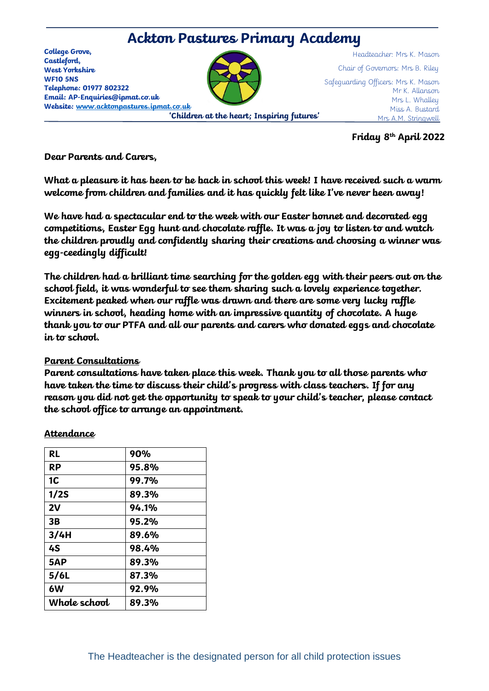

**Friday 8th April 2022**

**Dear Parents and Carers,** 

**What a pleasure it has been to be back in school this week! I have received such a warm welcome from children and families and it has quickly felt like I've never been away!**

**We have had a spectacular end to the week with our Easter bonnet and decorated egg competitions, Easter Egg hunt and chocolate raffle. It was a joy to listen to and watch the children proudly and confidently sharing their creations and choosing a winner was egg-ceedingly difficult!** 

**The children had a brilliant time searching for the golden egg with their peers out on the school field, it was wonderful to see them sharing such a lovely experience together. Excitement peaked when our raffle was drawn and there are some very lucky raffle winners in school, heading home with an impressive quantity of chocolate. A huge thank you to our PTFA and all our parents and carers who donated eggs and chocolate in to school.** 

## **Parent Consultations**

**Parent consultations have taken place this week. Thank you to all those parents who have taken the time to discuss their child's progress with class teachers. If for any reason you did not get the opportunity to speak to your child's teacher, please contact the school office to arrange an appointment.** 

| <b>RL</b>    | 90%          |
|--------------|--------------|
| <b>RP</b>    | 95.8%        |
| 1C           | <b>99.7%</b> |
| 1/2S         | 89.3%        |
| 2V           | 94.1%        |
| 3B           | 95.2%        |
| 3/4H         | 89.6%        |
| 4S           | 98.4%        |
| 5AP          | 89.3%        |
| 5/6L         | 87.3%        |
| 6W           | 92.9%        |
| Whole school | 89.3%        |
|              |              |

## **Attendance**